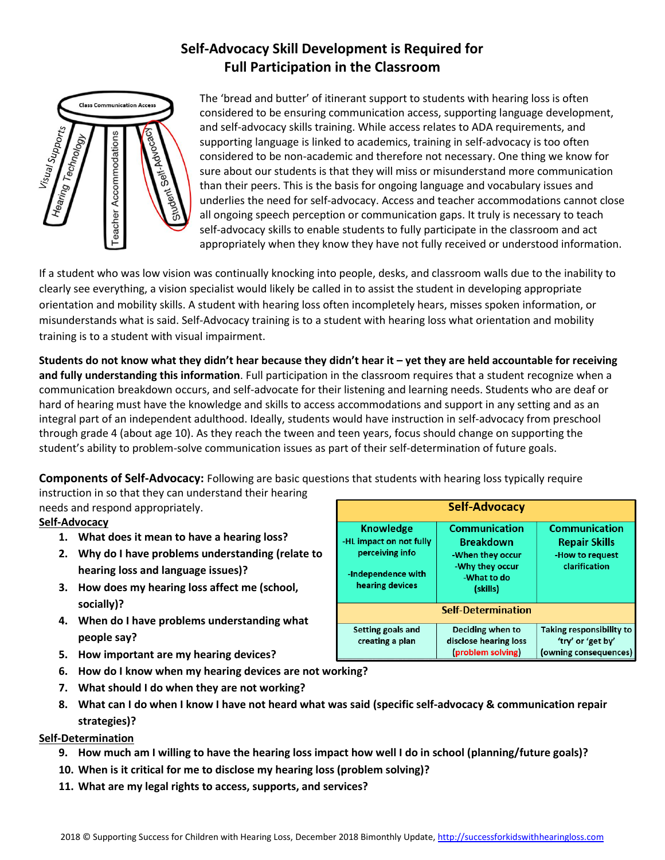# **Self-Advocacy Skill Development is Required for Full Participation in the Classroom**



The 'bread and butter' of itinerant support to students with hearing loss is often considered to be ensuring communication access, supporting language development, and self-advocacy skills training. While access relates to ADA requirements, and supporting language is linked to academics, training in self-advocacy is too often considered to be non-academic and therefore not necessary. One thing we know for sure about our students is that they will miss or misunderstand more communication than their peers. This is the basis for ongoing language and vocabulary issues and underlies the need for self-advocacy. Access and teacher accommodations cannot close all ongoing speech perception or communication gaps. It truly is necessary to teach self-advocacy skills to enable students to fully participate in the classroom and act appropriately when they know they have not fully received or understood information.

If a student who was low vision was continually knocking into people, desks, and classroom walls due to the inability to clearly see everything, a vision specialist would likely be called in to assist the student in developing appropriate orientation and mobility skills. A student with hearing loss often incompletely hears, misses spoken information, or misunderstands what is said. Self-Advocacy training is to a student with hearing loss what orientation and mobility training is to a student with visual impairment.

**Students do not know what they didn't hear because they didn't hear it – yet they are held accountable for receiving and fully understanding this information**. Full participation in the classroom requires that a student recognize when a communication breakdown occurs, and self-advocate for their listening and learning needs. Students who are deaf or hard of hearing must have the knowledge and skills to access accommodations and support in any setting and as an integral part of an independent adulthood. Ideally, students would have instruction in self-advocacy from preschool through grade 4 (about age 10). As they reach the tween and teen years, focus should change on supporting the student's ability to problem-solve communication issues as part of their self-determination of future goals.

**Components of Self-Advocacy:** Following are basic questions that students with hearing loss typically require

instruction in so that they can understand their hearing needs and respond appropriately.

# **Self-Advocacy**

- **1. What does it mean to have a hearing loss?**
- **2. Why do I have problems understanding (relate to hearing loss and language issues)?**
- **3. How does my hearing loss affect me (school, socially)?**
- **4. When do I have problems understanding what people say?**
- **5. How important are my hearing devices?**
- **6. How do I know when my hearing devices are not working?**
- **7. What should I do when they are not working?**
- **8. What can I do when I know I have not heard what was said (specific self-advocacy & communication repair strategies)?**

# **Self-Determination**

- **9. How much am I willing to have the hearing loss impact how well I do in school (planning/future goals)?**
- **10. When is it critical for me to disclose my hearing loss (problem solving)?**
- **11. What are my legal rights to access, supports, and services?**

|                                                                                                         | <b>Self-Advocacy</b>                                                                                       |                                                                                  |
|---------------------------------------------------------------------------------------------------------|------------------------------------------------------------------------------------------------------------|----------------------------------------------------------------------------------|
| <b>Knowledge</b><br>-HL impact on not fully<br>perceiving info<br>-Independence with<br>hearing devices | <b>Communication</b><br><b>Breakdown</b><br>-When they occur<br>-Why they occur<br>-What to do<br>(skills) | <b>Communication</b><br><b>Repair Skills</b><br>-How to request<br>clarification |
|                                                                                                         | <b>Self-Determination</b>                                                                                  |                                                                                  |
| Setting goals and<br>creating a plan                                                                    | Deciding when to<br>disclose hearing loss<br>(problem solving)                                             | <b>Taking responsibility to</b><br>'try' or 'get by'<br>(owning consequences)    |